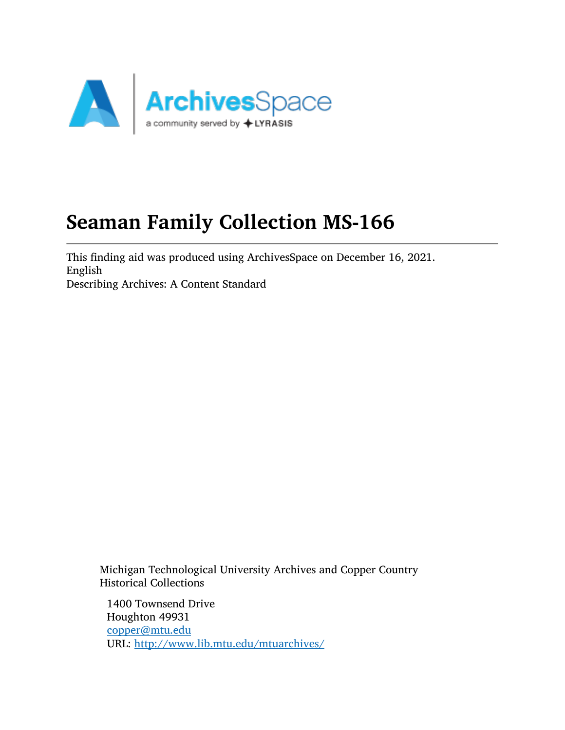

# Seaman Family Collection MS-166

This finding aid was produced using ArchivesSpace on December 16, 2021. English Describing Archives: A Content Standard

Michigan Technological University Archives and Copper Country Historical Collections

1400 Townsend Drive Houghton 49931 [copper@mtu.edu](mailto:copper@mtu.edu) URL: <http://www.lib.mtu.edu/mtuarchives/>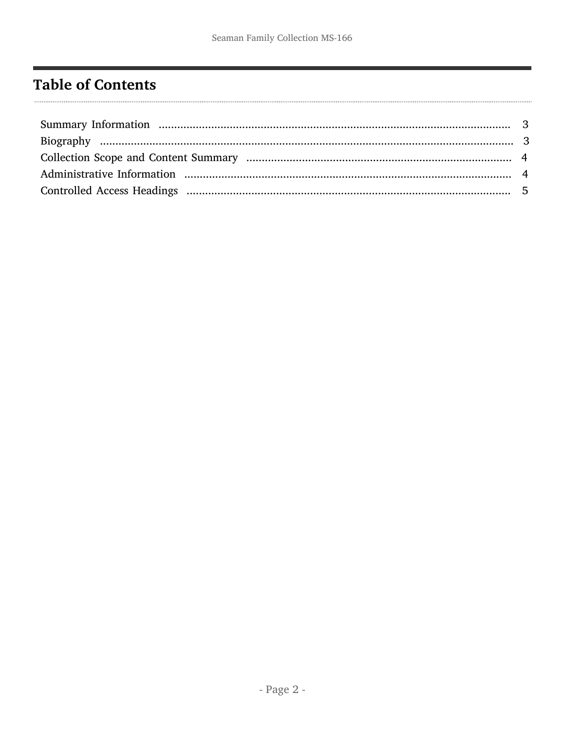# <span id="page-1-0"></span>**Table of Contents**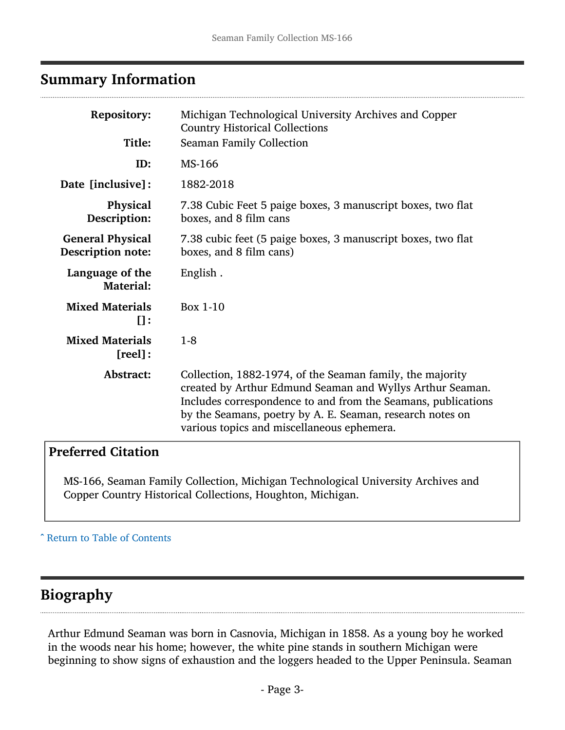## <span id="page-2-0"></span>Summary Information

| <b>Repository:</b><br>Title:                        | Michigan Technological University Archives and Copper<br><b>Country Historical Collections</b><br><b>Seaman Family Collection</b>                                                                                                                                                                  |
|-----------------------------------------------------|----------------------------------------------------------------------------------------------------------------------------------------------------------------------------------------------------------------------------------------------------------------------------------------------------|
| ID:                                                 | MS-166                                                                                                                                                                                                                                                                                             |
| Date [inclusive]:                                   | 1882-2018                                                                                                                                                                                                                                                                                          |
| <b>Physical</b><br>Description:                     | 7.38 Cubic Feet 5 paige boxes, 3 manuscript boxes, two flat<br>boxes, and 8 film cans                                                                                                                                                                                                              |
| <b>General Physical</b><br><b>Description note:</b> | 7.38 cubic feet (5 paige boxes, 3 manuscript boxes, two flat<br>boxes, and 8 film cans)                                                                                                                                                                                                            |
| Language of the<br><b>Material:</b>                 | English.                                                                                                                                                                                                                                                                                           |
| <b>Mixed Materials</b><br>$\mathbf{u}$ :            | Box 1-10                                                                                                                                                                                                                                                                                           |
| <b>Mixed Materials</b><br>$[real]$ :                | $1 - 8$                                                                                                                                                                                                                                                                                            |
| Abstract:                                           | Collection, 1882-1974, of the Seaman family, the majority<br>created by Arthur Edmund Seaman and Wyllys Arthur Seaman.<br>Includes correspondence to and from the Seamans, publications<br>by the Seamans, poetry by A. E. Seaman, research notes on<br>various topics and miscellaneous ephemera. |
|                                                     |                                                                                                                                                                                                                                                                                                    |

#### Preferred Citation

MS-166, Seaman Family Collection, Michigan Technological University Archives and Copper Country Historical Collections, Houghton, Michigan.

#### ^ [Return to Table of Contents](#page-1-0)

# <span id="page-2-1"></span>Biography

Arthur Edmund Seaman was born in Casnovia, Michigan in 1858. As a young boy he worked in the woods near his home; however, the white pine stands in southern Michigan were beginning to show signs of exhaustion and the loggers headed to the Upper Peninsula. Seaman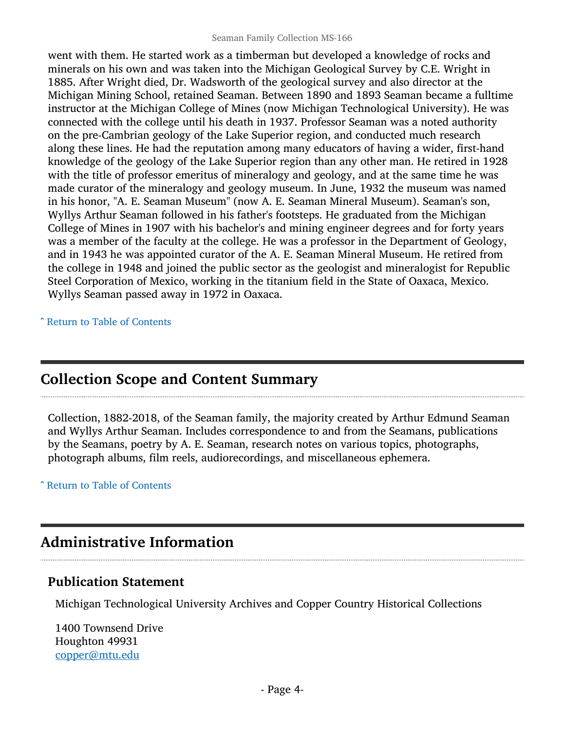went with them. He started work as a timberman but developed a knowledge of rocks and minerals on his own and was taken into the Michigan Geological Survey by C.E. Wright in 1885. After Wright died, Dr. Wadsworth of the geological survey and also director at the Michigan Mining School, retained Seaman. Between 1890 and 1893 Seaman became a fulltime instructor at the Michigan College of Mines (now Michigan Technological University). He was connected with the college until his death in 1937. Professor Seaman was a noted authority on the pre-Cambrian geology of the Lake Superior region, and conducted much research along these lines. He had the reputation among many educators of having a wider, first-hand knowledge of the geology of the Lake Superior region than any other man. He retired in 1928 with the title of professor emeritus of mineralogy and geology, and at the same time he was made curator of the mineralogy and geology museum. In June, 1932 the museum was named in his honor, "A. E. Seaman Museum" (now A. E. Seaman Mineral Museum). Seaman's son, Wyllys Arthur Seaman followed in his father's footsteps. He graduated from the Michigan College of Mines in 1907 with his bachelor's and mining engineer degrees and for forty years was a member of the faculty at the college. He was a professor in the Department of Geology, and in 1943 he was appointed curator of the A. E. Seaman Mineral Museum. He retired from the college in 1948 and joined the public sector as the geologist and mineralogist for Republic Steel Corporation of Mexico, working in the titanium field in the State of Oaxaca, Mexico. Wyllys Seaman passed away in 1972 in Oaxaca.

^ [Return to Table of Contents](#page-1-0)

## <span id="page-3-0"></span>Collection Scope and Content Summary

Collection, 1882-2018, of the Seaman family, the majority created by Arthur Edmund Seaman and Wyllys Arthur Seaman. Includes correspondence to and from the Seamans, publications by the Seamans, poetry by A. E. Seaman, research notes on various topics, photographs, photograph albums, film reels, audiorecordings, and miscellaneous ephemera.

^ [Return to Table of Contents](#page-1-0)

# <span id="page-3-1"></span>Administrative Information

#### Publication Statement

Michigan Technological University Archives and Copper Country Historical Collections

1400 Townsend Drive Houghton 49931 [copper@mtu.edu](mailto:copper@mtu.edu)